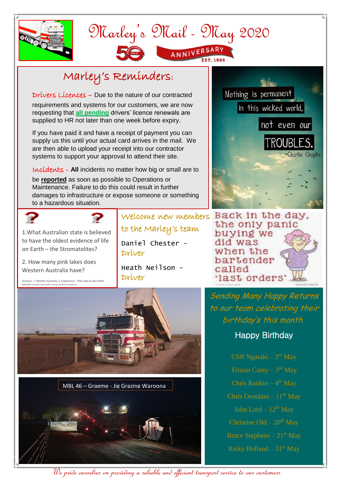

## Marley's Mail - May 2020 ANNIVERSARY

## Marley's Reminders:

Drivers Licences – Due to the nature of our contracted

requirements and systems for our customers, we are now requesting that **all pending** drivers' licence renewals are supplied to HR not later than one week before expiry.

If you have paid it and have a receipt of payment you can supply us this until your actual card arrives in the mail. We are then able to upload your receipt into our contractor systems to support your approval to attend their site.

Incidents - **All** incidents no matter how big or small are to be **reported** as soon as possible to Operations or Maintenance. Failure to do this could result in further damages to infrastructure or expose someone or something to a hazardous situation.

to the Marley's team

Daniel Chester -

Heath Neilson -

Driver

Driver





1.What Australian state is believed to have the oldest evidence of life on Earth – the Stromatolites?

2. How many pink lakes does Western Australia have?

Answers: 1. Western Australia, 2. Esaperance – Pink Lake & Lake Hillier (Middle Island) and Hutt Lgoon at Port Gregory



MBL 46 – Graeme - Jig Grazing Waroona





Welcome new members Back in the day. the only panic buying we did was when the bartender called 'last orders'

> Sending Many Happy Returns to our team celebrating their birthday's this month**.**

## Happy Birthday

Chris Rankin – 4 th May Bruce Stephens  $-21<sup>st</sup>$  May Ricky Holland –  $31<sup>st</sup>$  May

We pride ourselves on providing a reliable and efficient transport service to our customers